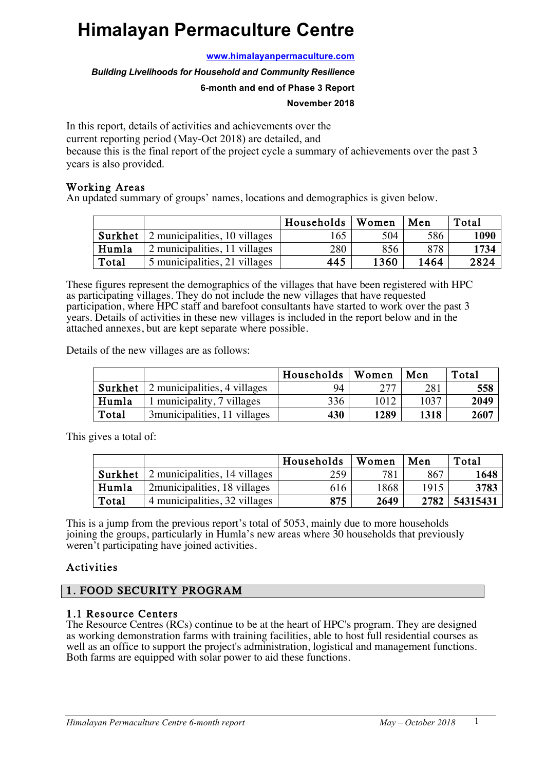# **Himalayan Permaculture Centre**

**www.himalayanpermaculture.com**

*Building Livelihoods for Household and Community Resilience*

#### **6-month and end of Phase 3 Report**

#### **November 2018**

In this report, details of activities and achievements over the current reporting period (May-Oct 2018) are detailed, and because this is the final report of the project cycle a summary of achievements over the past 3 years is also provided.

#### Working Areas

An updated summary of groups' names, locations and demographics is given below.

|       |                                                      | Households | Women | Men  | Total |
|-------|------------------------------------------------------|------------|-------|------|-------|
|       | <b>Surkhet</b> $\vert$ 2 municipalities, 10 villages | 165        | 504   | 586  | 1090  |
| Humla | 2 municipalities, 11 villages                        | 280        | 856   | 878  | 1734  |
| Total | 5 municipalities, 21 villages                        | 445        | 1360  | 1464 | 2824  |

These figures represent the demographics of the villages that have been registered with HPC as participating villages. They do not include the new villages that have requested participation, where HPC staff and barefoot consultants have started to work over the past 3 years. Details of activities in these new villages is included in the report below and in the attached annexes, but are kept separate where possible.

Details of the new villages are as follows:

|       |                                             | Households | Women | Men  | Total |
|-------|---------------------------------------------|------------|-------|------|-------|
|       | <b>Surkhet</b> 2 municipalities, 4 villages | 94         | 277   | 281  | 558   |
| Humla | 1 municipality, 7 villages                  | 336        | 1012  | 1037 | 2049  |
| Total | 3 municipalities, 11 villages               | 430        | 1289  | 1318 | 2607  |

This gives a total of:

|       |                                              | Households | Women | Men  | Total    |
|-------|----------------------------------------------|------------|-------|------|----------|
|       | <b>Surkhet</b> 2 municipalities, 14 villages | 259        | 781   | 867  | 1648     |
| Humla | 2 municipalities, 18 villages                | 616        | 1868  | 1915 | 3783     |
| Total | 4 municipalities, 32 villages                | 875        | 2649  | 2782 | 54315431 |

This is a jump from the previous report's total of 5053, mainly due to more households joining the groups, particularly in Humla's new areas where 30 households that previously weren't participating have joined activities.

### Activities

### 1. FOOD SECURITY PROGRAM

#### 1.1 Resource Centers

The Resource Centres (RCs) continue to be at the heart of HPC's program. They are designed as working demonstration farms with training facilities, able to host full residential courses as well as an office to support the project's administration, logistical and management functions. Both farms are equipped with solar power to aid these functions.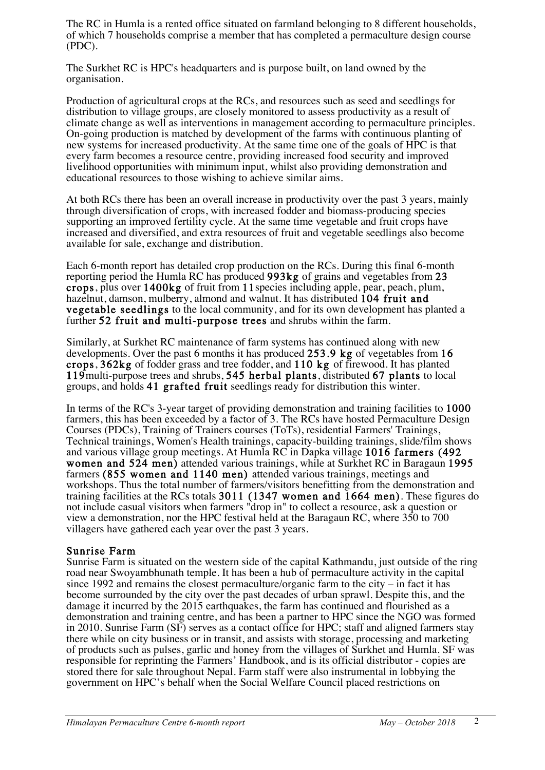The RC in Humla is a rented office situated on farmland belonging to 8 different households, of which 7 households comprise a member that has completed a permaculture design course (PDC).

The Surkhet RC is HPC's headquarters and is purpose built, on land owned by the organisation.

Production of agricultural crops at the RCs, and resources such as seed and seedlings for distribution to village groups, are closely monitored to assess productivity as a result of climate change as well as interventions in management according to permaculture principles. On-going production is matched by development of the farms with continuous planting of new systems for increased productivity. At the same time one of the goals of HPC is that every farm becomes a resource centre, providing increased food security and improved livelihood opportunities with minimum input, whilst also providing demonstration and educational resources to those wishing to achieve similar aims.

At both RCs there has been an overall increase in productivity over the past 3 years, mainly through diversification of crops, with increased fodder and biomass-producing species supporting an improved fertility cycle. At the same time vegetable and fruit crops have increased and diversified, and extra resources of fruit and vegetable seedlings also become available for sale, exchange and distribution.

Each 6-month report has detailed crop production on the RCs. During this final 6-month reporting period the Humla RC has produced 993kg of grains and vegetables from 23 crops, plus over 1400kg of fruit from 11species including apple, pear, peach, plum, hazelnut, damson, mulberry, almond and walnut. It has distributed 104 fruit and vegetable seedlings to the local community, and for its own development has planted a further 52 fruit and multi-purpose trees and shrubs within the farm.

Similarly, at Surkhet RC maintenance of farm systems has continued along with new developments. Over the past 6 months it has produced 253.9 kg of vegetables from 16 crops, 362kg of fodder grass and tree fodder, and 110 kg of firewood. It has planted 119multi-purpose trees and shrubs, 545 herbal plants, distributed 67 plants to local groups, and holds 41 grafted fruit seedlings ready for distribution this winter.

In terms of the RC's 3-year target of providing demonstration and training facilities to 1000 farmers, this has been exceeded by a factor of 3. The RCs have hosted Permaculture Design Courses (PDCs), Training of Trainers courses (ToTs), residential Farmers' Trainings, Technical trainings, Women's Health trainings, capacity-building trainings, slide/film shows and various village group meetings. At Humla RC in Dapka village 1016 farmers (492 women and 524 men) attended various trainings, while at Surkhet RC in Baragaun 1995 farmers (855 women and 1140 men) attended various trainings, meetings and workshops. Thus the total number of farmers/visitors benefitting from the demonstration and training facilities at the RCs totals  $3011$  (1347 women and  $1664$  men). These figures do not include casual visitors when farmers "drop in" to collect a resource, ask a question or view a demonstration, nor the HPC festival held at the Baragaun RC, where 350 to 700 villagers have gathered each year over the past 3 years.

#### Sunrise Farm

Sunrise Farm is situated on the western side of the capital Kathmandu, just outside of the ring road near Swoyambhunath temple. It has been a hub of permaculture activity in the capital since 1992 and remains the closest permaculture/organic farm to the city – in fact it has become surrounded by the city over the past decades of urban sprawl. Despite this, and the damage it incurred by the 2015 earthquakes, the farm has continued and flourished as a demonstration and training centre, and has been a partner to HPC since the NGO was formed in 2010. Sunrise Farm (SF) serves as a contact office for HPC; staff and aligned farmers stay there while on city business or in transit, and assists with storage, processing and marketing of products such as pulses, garlic and honey from the villages of Surkhet and Humla. SF was responsible for reprinting the Farmers' Handbook, and is its official distributor - copies are stored there for sale throughout Nepal. Farm staff were also instrumental in lobbying the government on HPC's behalf when the Social Welfare Council placed restrictions on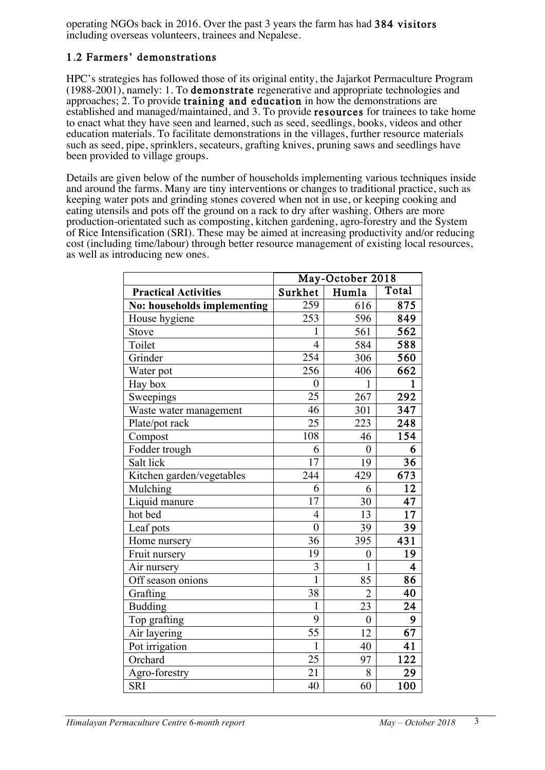operating NGOs back in 2016. Over the past 3 years the farm has had 384 visitors including overseas volunteers, trainees and Nepalese.

# 1.2 Farmers' demonstrations

HPC's strategies has followed those of its original entity, the Jajarkot Permaculture Program (1988-2001), namely: 1. To demonstrate regenerative and appropriate technologies and approaches; 2. To provide training and education in how the demonstrations are established and managed/maintained, and 3. To provide resources for trainees to take home to enact what they have seen and learned, such as seed, seedlings, books, videos and other education materials. To facilitate demonstrations in the villages, further resource materials such as seed, pipe, sprinklers, secateurs, grafting knives, pruning saws and seedlings have been provided to village groups.

Details are given below of the number of households implementing various techniques inside and around the farms. Many are tiny interventions or changes to traditional practice, such as keeping water pots and grinding stones covered when not in use, or keeping cooking and eating utensils and pots off the ground on a rack to dry after washing. Others are more production-orientated such as composting, kitchen gardening, agro-forestry and the System of Rice Intensification (SRI). These may be aimed at increasing productivity and/or reducing cost (including time/labour) through better resource management of existing local resources, as well as introducing new ones.

|                             | May-October 2018 |                  |                         |  |  |
|-----------------------------|------------------|------------------|-------------------------|--|--|
| <b>Practical Activities</b> | Surkhet          | Humla            | Total                   |  |  |
| No: households implementing | 259              | 616              | 875                     |  |  |
| House hygiene               | 253              | 596              | 849                     |  |  |
| Stove                       | $\mathbf{1}$     | 561              | $\overline{562}$        |  |  |
| Toilet                      | $\overline{4}$   | 584              | 588                     |  |  |
| Grinder                     | 254              | 306              | 560                     |  |  |
| Water pot                   | 256              | 406              | $\overline{662}$        |  |  |
| Hay box                     | $\boldsymbol{0}$ | 1                | $\mathbf{1}$            |  |  |
| Sweepings                   | 25               | 267              | 292                     |  |  |
| Waste water management      | 46               | 301              | 347                     |  |  |
| Plate/pot rack              | 25               | 223              | 248                     |  |  |
| Compost                     | 108              | 46               | 154                     |  |  |
| Fodder trough               | 6                | $\overline{0}$   | 6                       |  |  |
| Salt lick                   | 17               | 19               | $\overline{36}$         |  |  |
| Kitchen garden/vegetables   | 244              | 429              | 673                     |  |  |
| Mulching                    | 6                | 6                | $\overline{12}$         |  |  |
| Liquid manure               | 17               | 30               | 47                      |  |  |
| hot bed                     | $\overline{4}$   | 13               | 17                      |  |  |
| Leaf pots                   | $\overline{0}$   | 39               | 39                      |  |  |
| Home nursery                | 36               | 395              | 431                     |  |  |
| Fruit nursery               | 19               | $\boldsymbol{0}$ | 19                      |  |  |
| Air nursery                 | 3                | $\mathbf{1}$     | $\overline{\mathbf{4}}$ |  |  |
| Off season onions           | $\overline{1}$   | 85               | $\overline{86}$         |  |  |
| Grafting                    | 38               | $\overline{2}$   | 40                      |  |  |
| <b>Budding</b>              | $\mathbf{1}$     | 23               | 24                      |  |  |
| Top grafting                | 9                | $\mathbf{0}$     | 9                       |  |  |
| Air layering                | 55               | 12               | $\overline{67}$         |  |  |
| Pot irrigation              | $\mathbf{1}$     | 40               | 41                      |  |  |
| Orchard                     | 25               | 97               | 122                     |  |  |
| Agro-forestry               | 21               | 8                | 29                      |  |  |
| <b>SRI</b>                  | 40               | 60               | 100                     |  |  |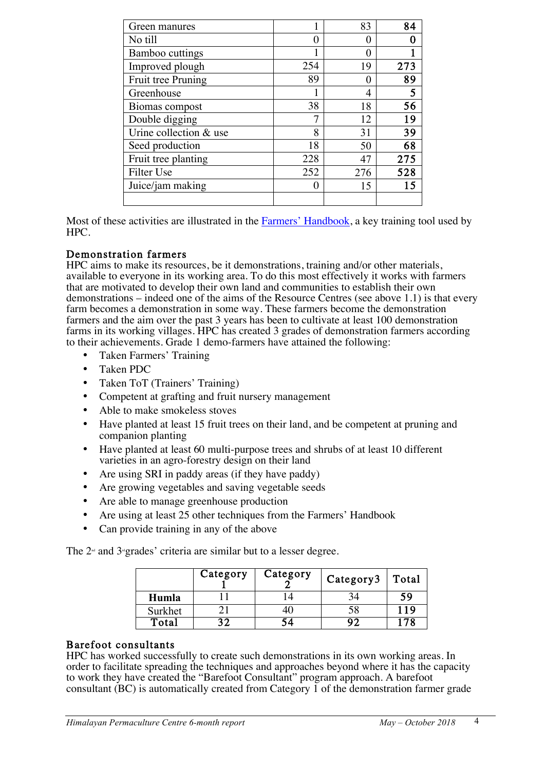| Green manures          |                  | 83  | 84  |
|------------------------|------------------|-----|-----|
| No till                | 0                |     |     |
| Bamboo cuttings        |                  |     |     |
| Improved plough        | 254              | 19  | 273 |
| Fruit tree Pruning     | 89               |     | 89  |
| Greenhouse             |                  | 4   | 5   |
| Biomas compost         | 38               | 18  | 56  |
| Double digging         | 7                | 12  | 19  |
| Urine collection & use | 8                | 31  | 39  |
| Seed production        | 18               | 50  | 68  |
| Fruit tree planting    | 228              | 47  | 275 |
| Filter Use             | 252              | 276 | 528 |
| Juice/jam making       | $\left( \right)$ | 15  | 15  |
|                        |                  |     |     |

Most of these activities are illustrated in the Farmers' Handbook, a key training tool used by HPC.

#### Demonstration farmers

HPC aims to make its resources, be it demonstrations, training and/or other materials, available to everyone in its working area. To do this most effectively it works with farmers that are motivated to develop their own land and communities to establish their own demonstrations – indeed one of the aims of the Resource Centres (see above 1.1) is that every farm becomes a demonstration in some way. These farmers become the demonstration farmers and the aim over the past 3 years has been to cultivate at least 100 demonstration farms in its working villages. HPC has created 3 grades of demonstration farmers according to their achievements. Grade 1 demo-farmers have attained the following:

- Taken Farmers' Training
- Taken PDC
- Taken ToT (Trainers' Training)
- Competent at grafting and fruit nursery management
- Able to make smokeless stoves
- Have planted at least 15 fruit trees on their land, and be competent at pruning and companion planting
- Have planted at least 60 multi-purpose trees and shrubs of at least 10 different varieties in an agro-forestry design on their land
- Are using SRI in paddy areas (if they have paddy)
- Are growing vegetables and saving vegetable seeds
- Are able to manage greenhouse production
- Are using at least 25 other techniques from the Farmers' Handbook
- Can provide training in any of the above

The  $2<sup>nd</sup>$  and  $3<sup>nd</sup>$  grades' criteria are similar but to a lesser degree.

|         | Category | Category | Category3 | Total |
|---------|----------|----------|-----------|-------|
| Humla   |          |          |           | 59    |
| Surkhet |          |          |           | 119   |
| Total   |          |          | מנ        | 78    |

#### Barefoot consultants

HPC has worked successfully to create such demonstrations in its own working areas. In order to facilitate spreading the techniques and approaches beyond where it has the capacity to work they have created the "Barefoot Consultant" program approach. A barefoot consultant (BC) is automatically created from Category  $\overline{1}$  of the demonstration farmer grade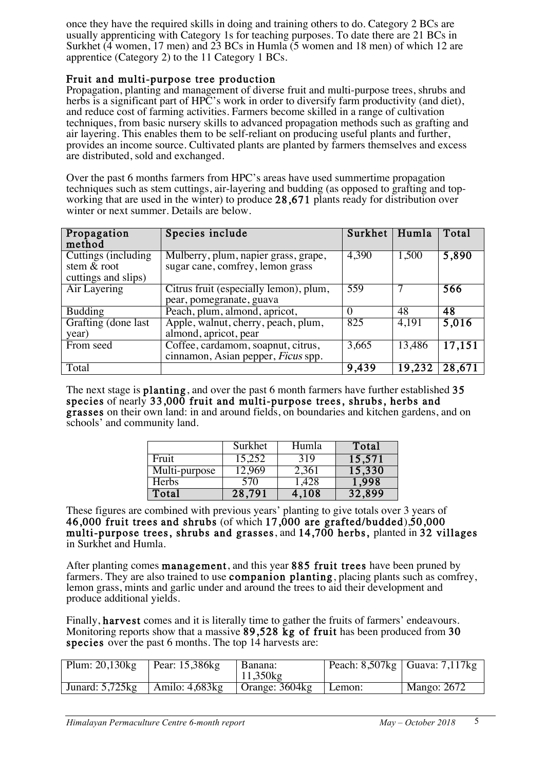once they have the required skills in doing and training others to do. Category 2 BCs are usually apprenticing with Category 1s for teaching purposes. To date there are 21 BCs in Surkhet (4 women, 17 men) and 23 BCs in Humla (5 women and 18 men) of which 12 are apprentice (Category 2) to the 11 Category 1 BCs.

#### Fruit and multi-purpose tree production

Propagation, planting and management of diverse fruit and multi-purpose trees, shrubs and herbs is a significant part of HPC's work in order to diversify farm productivity (and diet), and reduce cost of farming activities. Farmers become skilled in a range of cultivation techniques, from basic nursery skills to advanced propagation methods such as grafting and air layering. This enables them to be self-reliant on producing useful plants and further, provides an income source. Cultivated plants are planted by farmers themselves and excess are distributed, sold and exchanged.

Over the past 6 months farmers from HPC's areas have used summertime propagation techniques such as stem cuttings, air-layering and budding (as opposed to grafting and topworking that are used in the winter) to produce 28,671 plants ready for distribution over winter or next summer. Details are below.

| Propagation<br>method                   | Species include                        | Surkhet      | Humla  | Total  |
|-----------------------------------------|----------------------------------------|--------------|--------|--------|
| Cuttings (including)                    | Mulberry, plum, napier grass, grape,   | 4,390        | 1,500  | 5,890  |
| stem & root                             | sugar cane, comfrey, lemon grass       |              |        |        |
| cuttings and slips)                     |                                        |              |        |        |
| $\overline{\text{Air} \text{Layering}}$ | Citrus fruit (especially lemon), plum, | 559          |        | 566    |
|                                         | pear, pomegranate, guava               |              |        |        |
| <b>Budding</b>                          | Peach, plum, almond, apricot,          | $\mathbf{0}$ | 48     | 48     |
| Grafting (done last)                    | Apple, walnut, cherry, peach, plum,    | 825          | 4,191  | 5,016  |
| year)                                   | almond, apricot, pear                  |              |        |        |
| From seed                               | Coffee, cardamom, soapnut, citrus,     | 3,665        | 13,486 | 17,151 |
|                                         | cinnamon, Asian pepper, Ficus spp.     |              |        |        |
| Total                                   |                                        | 9,439        | 19,232 | 28,671 |

The next stage is **planting**, and over the past 6 month farmers have further established 35 species of nearly  $33,000$  fruit and multi-purpose trees, shrubs, herbs and grasses on their own land: in and around fields, on boundaries and kitchen gardens, and on schools' and community land.

|               | Surkhet | Humla | Total  |
|---------------|---------|-------|--------|
| Fruit         | 15,252  | 319   | 15,571 |
| Multi-purpose | 12,969  | 2,361 | 15,330 |
| Herbs         | 570     | 1,428 | 1,998  |
| Total         | 28,791  | 4,108 | 32,899 |

These figures are combined with previous years' planting to give totals over 3 years of 46,000 fruit trees and shrubs (of which  $17,000$  are grafted/budded),50,000 multi-purpose trees, shrubs and grasses, and 14,700 herbs, planted in 32 villages in Surkhet and Humla.

After planting comes management, and this year 885 fruit trees have been pruned by farmers. They are also trained to use **companion planting**, placing plants such as comfrey, lemon grass, mints and garlic under and around the trees to aid their development and produce additional yields.

Finally, harvest comes and it is literally time to gather the fruits of farmers' endeavours. Monitoring reports show that a massive 89,528 kg of fruit has been produced from 30 species over the past 6 months. The top 14 harvests are:

| Plum: $20,130$ $kg$                  | Pear: $15,386$ kg | l Banana:<br>$11,350$ $kg$ |        | Peach: $8,507$ kg   Guava: $7,117$ kg |
|--------------------------------------|-------------------|----------------------------|--------|---------------------------------------|
| Junard: $5,725$ kg Amilo: $4,683$ kg |                   | Orange: $3604kg$           | Lemon: | <b>Mango: 2672</b>                    |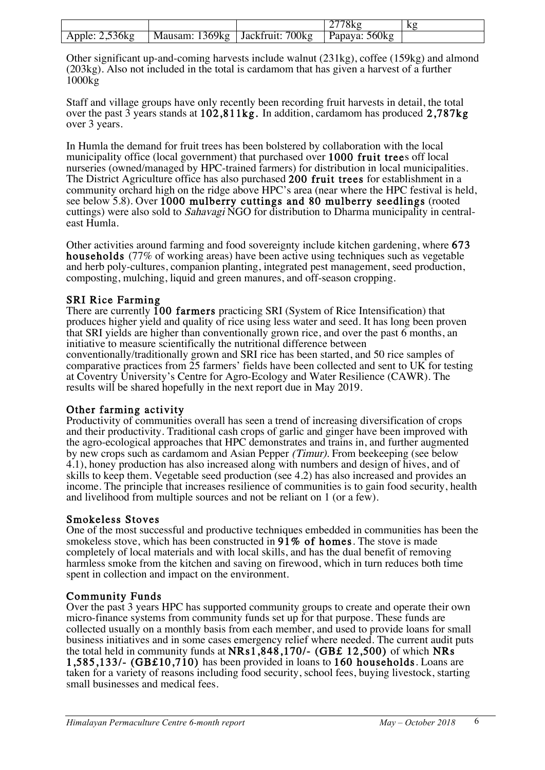|                   |                                   | 2778kg          | ΔY |
|-------------------|-----------------------------------|-----------------|----|
| Apple: $2,536$ kg | Mausam: 1369kg   Jackfruit: 700kg | Papaya: $560kg$ |    |

Other significant up-and-coming harvests include walnut (231kg), coffee (159kg) and almond (203kg). Also not included in the total is cardamom that has given a harvest of a further 1000kg

Staff and village groups have only recently been recording fruit harvests in detail, the total over the past 3 years stands at 102,811kg. In addition, cardamom has produced 2,787kg over 3 years.

In Humla the demand for fruit trees has been bolstered by collaboration with the local municipality office (local government) that purchased over 1000 fruit trees off local nurseries (owned/managed by HPC-trained farmers) for distribution in local municipalities. The District Agriculture office has also purchased 200 fruit trees for establishment in a community orchard high on the ridge above HPC's area (near where the HPC festival is held, see below 5.8). Over 1000 mulberry cuttings and 80 mulberry seedlings (rooted cuttings) were also sold to Sahavagi NGO for distribution to Dharma municipality in centraleast Humla.

Other activities around farming and food sovereignty include kitchen gardening, where 673 households (77% of working areas) have been active using techniques such as vegetable and herb poly-cultures, companion planting, integrated pest management, seed production, composting, mulching, liquid and green manures, and off-season cropping.

SRI Rice Farming<br>There are currently 100 farmers practicing SRI (System of Rice Intensification) that produces higher yield and quality of rice using less water and seed. It has long been proven that SRI yields are higher than conventionally grown rice, and over the past 6 months, an initiative to measure scientifically the nutritional difference between conventionally/traditionally grown and SRI rice has been started, and 50 rice samples of comparative practices from  $\overline{25}$  farmers' fields have been collected and sent to UK for testing at Coventry University's Centre for Agro-Ecology and Water Resilience (CAWR). The results will be shared hopefully in the next report due in May 2019.

Other farming activity<br>Productivity of communities overall has seen a trend of increasing diversification of crops and their productivity. Traditional cash crops of garlic and ginger have been improved with the agro-ecological approaches that HPC demonstrates and trains in, and further augmented by new crops such as cardamom and Asian Pepper (Timur). From beekeeping (see below 4.1), honey production has also increased along with numbers and design of hives, and of skills to keep them. Vegetable seed production (see 4.2) has also increased and provides an income. The principle that increases resilience of communities is to gain food security, health and livelihood from multiple sources and not be reliant on 1 (or a few).

#### Smokeless Stoves

One of the most successful and productive techniques embedded in communities has been the smokeless stove, which has been constructed in 91% of homes. The stove is made completely of local materials and with local skills, and has the dual benefit of removing harmless smoke from the kitchen and saving on firewood, which in turn reduces both time spent in collection and impact on the environment.

#### Community Funds

Over the past 3 years HPC has supported community groups to create and operate their own micro-finance systems from community funds set up for that purpose. These funds are collected usually on a monthly basis from each member, and used to provide loans for small business initiatives and in some cases emergency relief where needed. The current audit puts the total held in community funds at NRs1,848,170/- (GB£ 12,500) of which NRs<sup>2</sup> 1,585,133/- (GB£10,710) has been provided in loans to 160 households. Loans are taken for a variety of reasons including food security, school fees, buying livestock, starting small businesses and medical fees.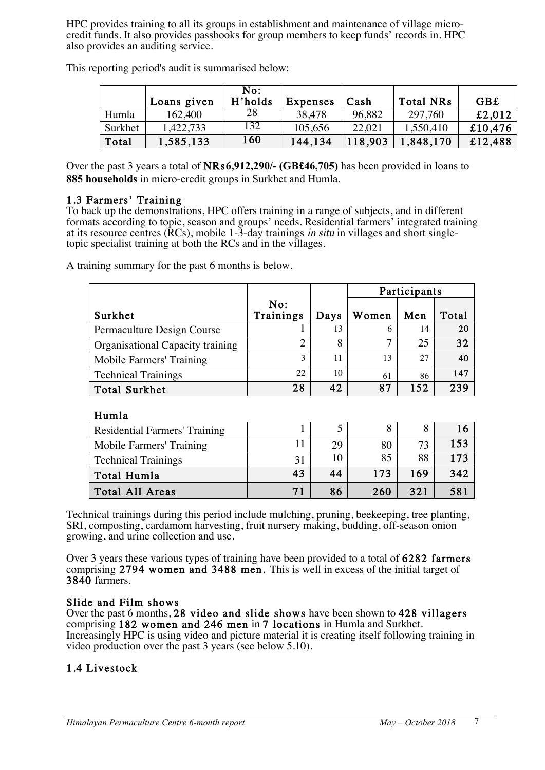HPC provides training to all its groups in establishment and maintenance of village microcredit funds. It also provides passbooks for group members to keep funds' records in. HPC also provides an auditing service.

|         | Loans given | No:<br>H'holds | <b>Expenses</b> | Cash    | <b>Total NRs</b> | <b>GB£</b> |
|---------|-------------|----------------|-----------------|---------|------------------|------------|
| Humla   | 162,400     | 28             | 38,478          | 96,882  | 297.760          | £2,012     |
| Surkhet | 1,422,733   | 132            | 105,656         | 22.021  | 1,550,410        | £10,476    |
| Total   | 1,585,133   | 160            | 144,134         | 118,903 | 1,848,170        | £12,488    |

This reporting period's audit is summarised below:

Over the past 3 years a total of NRs**6,912,290/- (GB£46,705)** has been provided in loans to **885 households** in micro-credit groups in Surkhet and Humla.

#### 1.3 Farmers' Training

To back up the demonstrations, HPC offers training in a range of subjects, and in different formats according to topic, season and groups' needs. Residential farmers' integrated training at its resource centres (RCs), mobile 1-3-day trainings in situ in villages and short singletopic specialist training at both the RCs and in the villages.

A training summary for the past 6 months is below.

|                                  |                  |      | Participants |     |       |
|----------------------------------|------------------|------|--------------|-----|-------|
| Surkhet                          | No:<br>Trainings | Days | Women        | Men | Total |
| Permaculture Design Course       |                  | 13   | 6            | 14  | 20    |
| Organisational Capacity training |                  | 8    | 7            | 25  | 32    |
| Mobile Farmers' Training         | 3                | 11   | 13           | 27  | 40    |
| <b>Technical Trainings</b>       | 22               | 10   | 61           | 86  | 147   |
| <b>Total Surkhet</b>             | 28               | 42   | 87           | 152 | 239   |

# Humla

| Residential Farmers' Training |    |    |     |     |     |
|-------------------------------|----|----|-----|-----|-----|
| Mobile Farmers' Training      |    | 29 | 80  | 73  | 153 |
| <b>Technical Trainings</b>    | 31 | 10 | 85  | 88  | 173 |
| Total Humla                   | 43 | 44 | 173 | 169 | 342 |
| Total All Areas               | 71 | 86 | 260 | 321 | 581 |

 Technical trainings during this period include mulching, pruning, beekeeping, tree planting, SRI, composting, cardamom harvesting, fruit nursery making, budding, off-season onion growing, and urine collection and use.

Over 3 years these various types of training have been provided to a total of 6282 farmers comprising 2794 women and 3488 men. This is well in excess of the initial target of 3840 farmers.

Slide and Film shows<br>Over the past 6 months, 28 video and slide shows have been shown to 428 villagers comprising 182 women and 246 men in 7 locations in Humla and Surkhet. Increasingly HPC is using video and picture material it is creating itself following training in video production over the past 3 years (see below 5.10).

### 1.4 Livestock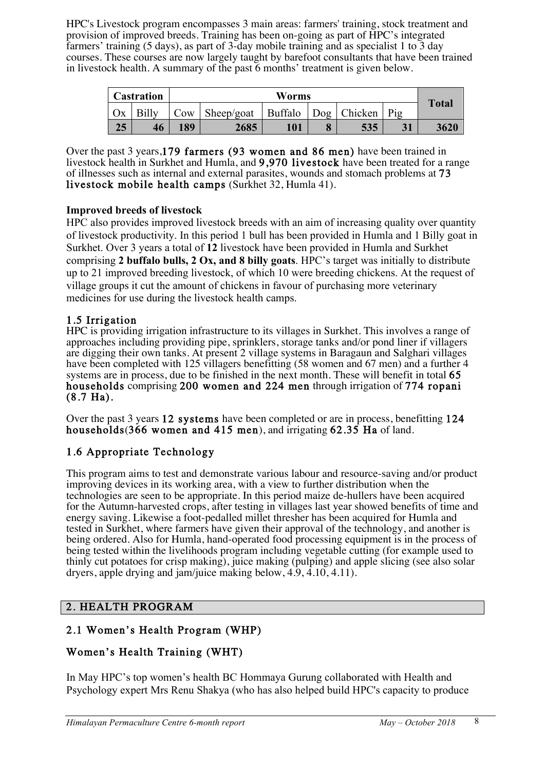HPC's Livestock program encompasses 3 main areas: farmers' training, stock treatment and provision of improved breeds. Training has been on-going as part of HPC's integrated farmers' training (5 days), as part of 3-day mobile training and as specialist 1 to 3 day courses. These courses are now largely taught by barefoot consultants that have been trained in livestock health. A summary of the past 6 months' treatment is given below.

| Worms<br>Castration |    |     |            |         |                |     |              |
|---------------------|----|-----|------------|---------|----------------|-----|--------------|
| Оx                  |    | Cow | Sheep/goat | Buffalo | $\log$ Chicken | Pig | <b>Total</b> |
| 25                  | 46 | 189 | 2685       | 101     | 535            |     | 3620         |

Over the past 3 years,179 farmers (93 women and 86 men) have been trained in livestock health in Surkhet and Humla, and 9,970 livestock have been treated for a range of illnesses such as internal and external parasites, wounds and stomach problems at 73 livestock mobile health camps (Surkhet 32, Humla 41).

### **Improved breeds of livestock**

HPC also provides improved livestock breeds with an aim of increasing quality over quantity of livestock productivity. In this period 1 bull has been provided in Humla and 1 Billy goat in Surkhet. Over 3 years a total of **12** livestock have been provided in Humla and Surkhet comprising **2 buffalo bulls, 2 Ox, and 8 billy goats**. HPC's target was initially to distribute up to 21 improved breeding livestock, of which 10 were breeding chickens. At the request of village groups it cut the amount of chickens in favour of purchasing more veterinary medicines for use during the livestock health camps.

# 1.5 Irrigation

HPC is providing irrigation infrastructure to its villages in Surkhet. This involves a range of approaches including providing pipe, sprinklers, storage tanks and/or pond liner if villagers are digging their own tanks. At present 2 village systems in Baragaun and Salghari villages have been completed with 125 villagers benefitting (58 women and 67 men) and a further 4 systems are in process, due to be finished in the next month. These will benefit in total 65 households comprising 200 women and 224 men through irrigation of 774 ropani (8.7 Ha).

Over the past 3 years 12 systems have been completed or are in process, benefitting 124 households(366 women and 415 men), and irrigating 62.35 Ha of land.

# 1.6 Appropriate Technology

This program aims to test and demonstrate various labour and resource-saving and/or product improving devices in its working area, with a view to further distribution when the technologies are seen to be appropriate. In this period maize de-hullers have been acquired for the Autumn-harvested crops, after testing in villages last year showed benefits of time and energy saving. Likewise a foot-pedalled millet thresher has been acquired for Humla and tested in Surkhet, where farmers have given their approval of the technology, and another is being ordered. Also for Humla, hand-operated food processing equipment is in the process of being tested within the livelihoods program including vegetable cutting (for example used to thinly cut potatoes for crisp making), juice making (pulping) and apple slicing (see also solar dryers, apple drying and jam/juice making below, 4.9, 4.10, 4.11).

### 2. HEALTH PROGRAM

# 2.1 Women's Health Program (WHP)

# Women's Health Training (WHT)

In May HPC's top women's health BC Hommaya Gurung collaborated with Health and Psychology expert Mrs Renu Shakya (who has also helped build HPC's capacity to produce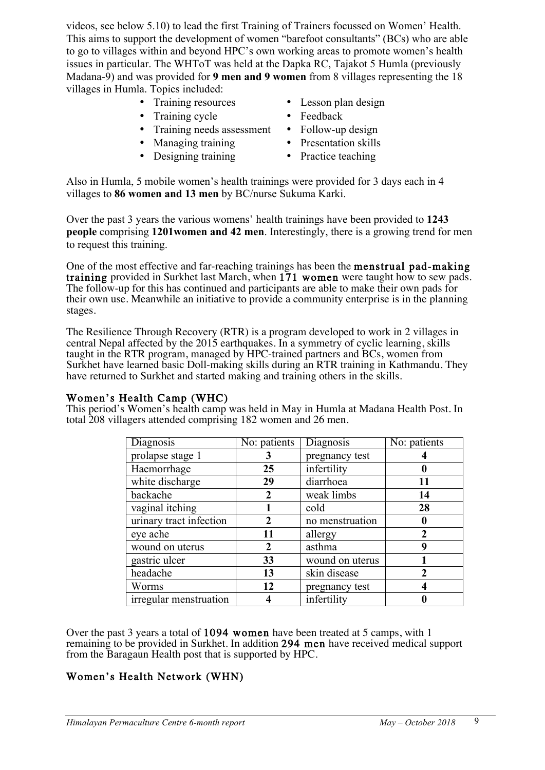videos, see below 5.10) to lead the first Training of Trainers focussed on Women' Health. This aims to support the development of women "barefoot consultants" (BCs) who are able to go to villages within and beyond HPC's own working areas to promote women's health issues in particular. The WHToT was held at the Dapka RC, Tajakot 5 Humla (previously Madana-9) and was provided for **9 men and 9 women** from 8 villages representing the 18 villages in Humla. Topics included:

- 
- Training cycle Feedback
- Training needs assessment Follow-up design
- Managing training Presentation skills
- Designing training Practice teaching
- Training resources Lesson plan design
	-
	-
	-
	-

Also in Humla, 5 mobile women's health trainings were provided for 3 days each in 4 villages to **86 women and 13 men** by BC/nurse Sukuma Karki.

Over the past 3 years the various womens' health trainings have been provided to **1243 people** comprising **1201women and 42 men**. Interestingly, there is a growing trend for men to request this training.

One of the most effective and far-reaching trainings has been the menstrual pad-making training provided in Surkhet last March, when 171 women were taught how to sew pads. The follow-up for this has continued and participants are able to make their own pads for their own use. Meanwhile an initiative to provide a community enterprise is in the planning stages.

The Resilience Through Recovery (RTR) is a program developed to work in 2 villages in central Nepal affected by the 2015 earthquakes. In a symmetry of cyclic learning, skills taught in the RTR program, managed by HPC-trained partners and BCs, women from Surkhet have learned basic Doll-making skills during an RTR training in Kathmandu. They have returned to Surkhet and started making and training others in the skills.

Women's Health Camp (WHC)<br>This period's Women's health camp was held in May in Humla at Madana Health Post. In total 208 villagers attended comprising 182 women and 26 men.

| <b>Diagnosis</b>        | No: patients | Diagnosis       | No: patients   |
|-------------------------|--------------|-----------------|----------------|
| prolapse stage 1        | 3            | pregnancy test  |                |
| Haemorrhage             | 25           | infertility     |                |
| white discharge         | 29           | diarrhoea       | 11             |
| backache                | 2            | weak limbs      | 14             |
| vaginal itching         |              | cold            | 28             |
| urinary tract infection |              | no menstruation |                |
| eye ache                | 11           | allergy         |                |
| wound on uterus         | 2            | asthma          | g              |
| gastric ulcer           | 33           | wound on uterus |                |
| headache                | 13           | skin disease    | $\mathfrak{D}$ |
| Worms                   | 12           | pregnancy test  |                |
| irregular menstruation  |              | infertility     |                |

Over the past 3 years a total of 1094 women have been treated at 5 camps, with 1 remaining to be provided in Surkhet. In addition 294 men have received medical support from the Baragaun Health post that is supported by HPC.

### Women's Health Network (WHN)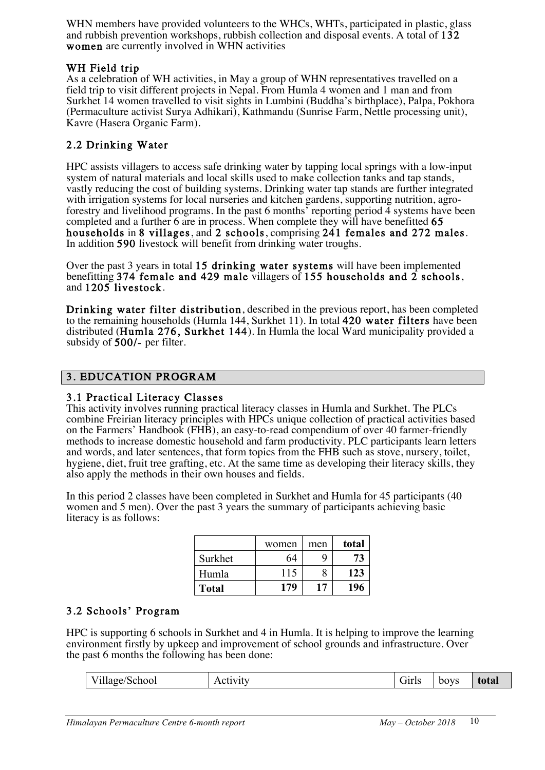WHN members have provided volunteers to the WHCs, WHTs, participated in plastic, glass and rubbish prevention workshops, rubbish collection and disposal events. A total of 132 women are currently involved in WHN activities

### WH Field trip

As a celebration of WH activities, in May a group of WHN representatives travelled on a field trip to visit different projects in Nepal. From Humla 4 women and 1 man and from Surkhet 14 women travelled to visit sights in Lumbini (Buddha's birthplace), Palpa, Pokhora (Permaculture activist Surya Adhikari), Kathmandu (Sunrise Farm, Nettle processing unit), Kavre (Hasera Organic Farm).

# 2.2 Drinking Water

HPC assists villagers to access safe drinking water by tapping local springs with a low-input system of natural materials and local skills used to make collection tanks and tap stands, vastly reducing the cost of building systems. Drinking water tap stands are further integrated with irrigation systems for local nurseries and kitchen gardens, supporting nutrition, agroforestry and livelihood programs. In the past 6 months<sup> $\delta$ </sup> reporting period  $\overline{4}$  systems have been completed and a further 6 are in process. When complete they will have benefitted 65 households in 8 villages, and 2 schools, comprising 241 females and 272 males. In addition 590 livestock will benefit from drinking water troughs.

Over the past 3 years in total 15 drinking water systems will have been implemented benefitting 374 female and 429 male villagers of 155 households and 2 schools, and 1205 livestock.

Drinking water filter distribution, described in the previous report, has been completed to the remaining households (Humla 144, Surkhet 11). In total 420 water filters have been distributed (Humla 276, Surkhet 144). In Humla the local Ward municipality provided a subsidy of 500/- per filter.

# 3. EDUCATION PROGRAM

### 3.1 Practical Literacy Classes

This activity involves running practical literacy classes in Humla and Surkhet. The PLCs combine Freirian literacy principles with HPCs unique collection of practical activities based on the Farmers' Handbook (FHB), an easy-to-read compendium of over 40 farmer-friendly methods to increase domestic household and farm productivity. PLC participants learn letters and words, and later sentences, that form topics from the FHB such as stove, nursery, toilet, hygiene, diet, fruit tree grafting, etc. At the same time as developing their literacy skills, they also apply the methods in their own houses and fields.

In this period 2 classes have been completed in Surkhet and Humla for 45 participants (40 women and 5 men). Over the past 3 years the summary of participants achieving basic literacy is as follows:

|              | women | men | total |
|--------------|-------|-----|-------|
| Surkhet      | 64    |     | 73    |
| Humla        | 115   |     | 123   |
| <b>Total</b> | 179   | 17  | 196   |

### 3.2 Schools' Program

HPC is supporting 6 schools in Surkhet and 4 in Humla. It is helping to improve the learning environment firstly by upkeep and improvement of school grounds and infrastructure. Over the past 6 months the following has been done:

| School<br>.<br>v iliage/ | VIU<br>11011 | Girl:<br>__ | boys | total |
|--------------------------|--------------|-------------|------|-------|
|--------------------------|--------------|-------------|------|-------|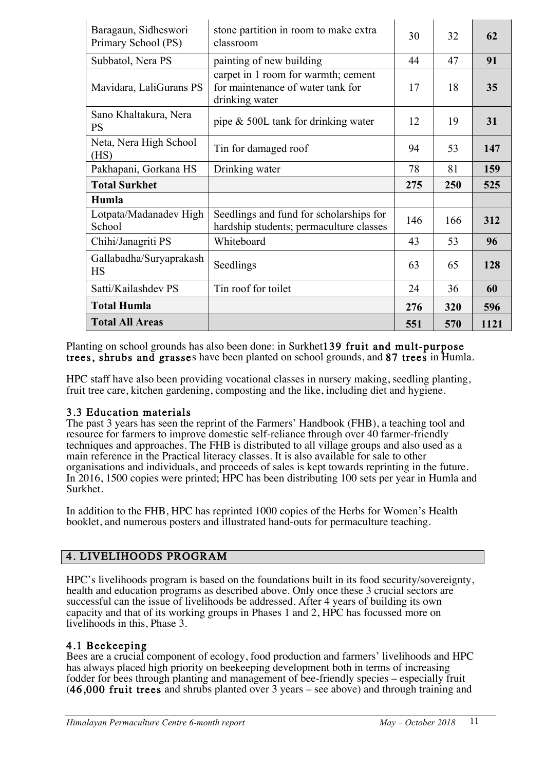| Baragaun, Sidheswori<br>Primary School (PS) | stone partition in room to make extra<br>classroom                                         | 30  | 32  | 62   |
|---------------------------------------------|--------------------------------------------------------------------------------------------|-----|-----|------|
| Subbatol, Nera PS                           | painting of new building                                                                   | 44  | 47  | 91   |
| Mavidara, LaliGurans PS                     | carpet in 1 room for warmth; cement<br>for maintenance of water tank for<br>drinking water | 17  | 18  | 35   |
| Sano Khaltakura, Nera<br><b>PS</b>          | pipe $\&$ 500L tank for drinking water                                                     | 12  | 19  | 31   |
| Neta, Nera High School<br>(HS)              | Tin for damaged roof                                                                       | 94  | 53  | 147  |
| Pakhapani, Gorkana HS                       | Drinking water                                                                             | 78  | 81  | 159  |
| <b>Total Surkhet</b>                        |                                                                                            | 275 | 250 | 525  |
| Humla                                       |                                                                                            |     |     |      |
| Lotpata/Madanadev High<br>School            | Seedlings and fund for scholarships for<br>hardship students; permaculture classes         | 146 | 166 | 312  |
| Chihi/Janagriti PS                          | Whiteboard                                                                                 | 43  | 53  | 96   |
| Gallabadha/Suryaprakash<br><b>HS</b>        | Seedlings                                                                                  | 63  | 65  | 128  |
| Satti/Kailashdev PS                         | Tin roof for toilet                                                                        | 24  | 36  | 60   |
| <b>Total Humla</b>                          |                                                                                            | 276 | 320 | 596  |
| <b>Total All Areas</b>                      |                                                                                            | 551 | 570 | 1121 |

Planting on school grounds has also been done: in Surkhet139 fruit and mult-purpose trees, shrubs and grasses have been planted on school grounds, and 87 trees in Humla.

HPC staff have also been providing vocational classes in nursery making, seedling planting, fruit tree care, kitchen gardening, composting and the like, including diet and hygiene.

#### 3.3 Education materials

The past 3 years has seen the reprint of the Farmers' Handbook (FHB), a teaching tool and resource for farmers to improve domestic self-reliance through over 40 farmer-friendly techniques and approaches. The FHB is distributed to all village groups and also used as a main reference in the Practical literacy classes. It is also available for sale to other organisations and individuals, and proceeds of sales is kept towards reprinting in the future. In 2016, 1500 copies were printed; HPC has been distributing 100 sets per year in Humla and Surkhet.

In addition to the FHB, HPC has reprinted 1000 copies of the Herbs for Women's Health booklet, and numerous posters and illustrated hand-outs for permaculture teaching.

### 4. LIVELIHOODS PROGRAM

HPC's livelihoods program is based on the foundations built in its food security/sovereignty, health and education programs as described above. Only once these 3 crucial sectors are successful can the issue of livelihoods be addressed. After 4 years of building its own capacity and that of its working groups in Phases 1 and 2, HPC has focussed more on livelihoods in this, Phase 3.

### 4.1 Beekeeping

Bees are a crucial component of ecology, food production and farmers' livelihoods and HPC has always placed high priority on beekeeping development both in terms of increasing fodder for bees through planting and management of bee-friendly species – especially fruit (46,000 fruit trees and shrubs planted over 3 years – see above) and through training and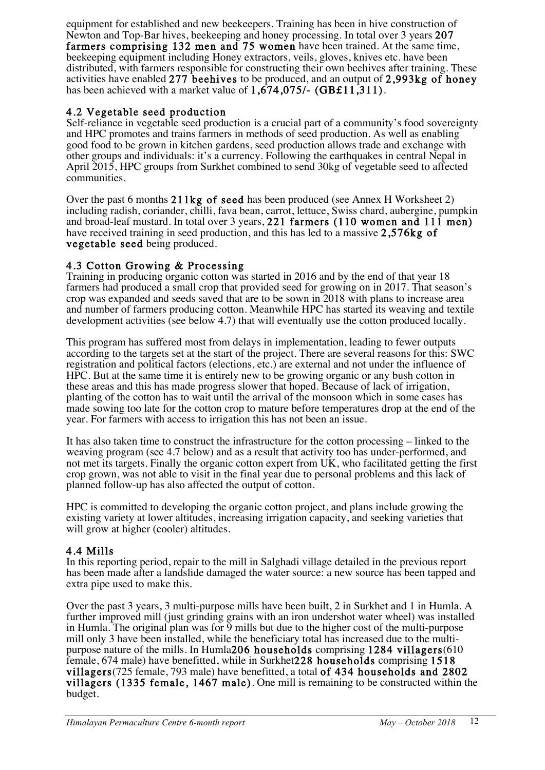equipment for established and new beekeepers. Training has been in hive construction of Newton and Top-Bar hives, beekeeping and honey processing. In total over 3 years 207 farmers comprising 132 men and 75 women have been trained. At the same time, beekeeping equipment including Honey extractors, veils, gloves, knives etc. have been distributed, with farmers responsible for constructing their own beehives after training. These activities have enabled 277 beehives to be produced, and an output of 2,993kg of honey has been achieved with a market value of 1,674,075/- (GB£11,311).

# 4.2 Vegetable seed production

Self-reliance in vegetable seed production is a crucial part of a community's food sovereignty and HPC promotes and trains farmers in methods of seed production. As well as enabling good food to be grown in kitchen gardens, seed production allows trade and exchange with other groups and individuals: it's a currency. Following the earthquakes in central Nepal in April 2015, HPC groups from Surkhet combined to send 30kg of vegetable seed to affected communities.

Over the past 6 months 211kg of seed has been produced (see Annex H Worksheet 2) including radish, coriander, chilli, fava bean, carrot, lettuce, Swiss chard, aubergine, pumpkin and broad-leaf mustard. In total over 3 years, 221 farmers (110 women and 111 men) have received training in seed production, and this has led to a massive 2,576kg of vegetable seed being produced.

# 4.3 Cotton Growing & Processing

Training in producing organic cotton was started in 2016 and by the end of that year 18 farmers had produced a small crop that provided seed for growing on in 2017. That season's crop was expanded and seeds saved that are to be sown in 2018 with plans to increase area and number of farmers producing cotton. Meanwhile HPC has started its weaving and textile development activities (see below 4.7) that will eventually use the cotton produced locally.

This program has suffered most from delays in implementation, leading to fewer outputs according to the targets set at the start of the project. There are several reasons for this: SWC registration and political factors (elections, etc.) are external and not under the influence of HPC. But at the same time it is entirely new to be growing organic or any bush cotton in these areas and this has made progress slower that hoped. Because of lack of irrigation, planting of the cotton has to wait until the arrival of the monsoon which in some cases has made sowing too late for the cotton crop to mature before temperatures drop at the end of the year. For farmers with access to irrigation this has not been an issue.

It has also taken time to construct the infrastructure for the cotton processing – linked to the weaving program (see 4.7 below) and as a result that activity too has under-performed, and not met its targets. Finally the organic cotton expert from UK, who facilitated getting the first crop grown, was not able to visit in the final year due to personal problems and this lack of planned follow-up has also affected the output of cotton.

HPC is committed to developing the organic cotton project, and plans include growing the existing variety at lower altitudes, increasing irrigation capacity, and seeking varieties that will grow at higher (cooler) altitudes.

### 4.4 Mills

In this reporting period, repair to the mill in Salghadi village detailed in the previous report has been made after a landslide damaged the water source: a new source has been tapped and extra pipe used to make this.

Over the past 3 years, 3 multi-purpose mills have been built, 2 in Surkhet and 1 in Humla. A further improved mill (just grinding grains with an iron undershot water wheel) was installed in Humla. The original plan was for 9 mills but due to the higher cost of the multi-purpose mill only 3 have been installed, while the beneficiary total has increased due to the multipurpose nature of the mills. In Humla206 households comprising 1284 villagers(610 female, 674 male) have benefitted, while in Surkhet228 households comprising 1518 villagers(725 female, 793 male) have benefitted, a total of 434 households and 2802 villagers (1335 female, 1467 male). One mill is remaining to be constructed within the budget.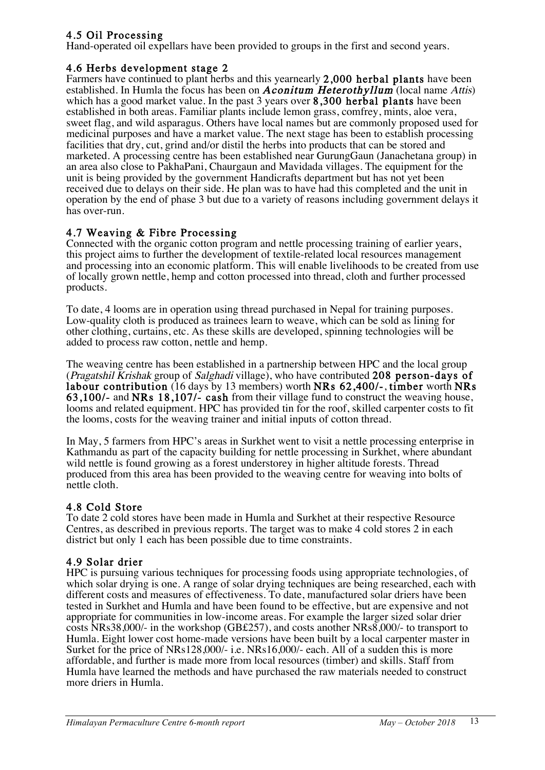# 4.5 Oil Processing

Hand-operated oil expellars have been provided to groups in the first and second years.

#### 4.6 Herbs development stage 2

Farmers have continued to plant herbs and this yearnearly 2,000 herbal plants have been established. In Humla the focus has been on **Aconitum Heterothyllum** (local name Attis) which has a good market value. In the past 3 years over 8,300 herbal plants have been established in both areas. Familiar plants include lemon grass, comfrey, mints, aloe vera, sweet flag, and wild asparagus. Others have local names but are commonly proposed used for medicinal purposes and have a market value. The next stage has been to establish processing facilities that dry, cut, grind and/or distil the herbs into products that can be stored and marketed. A processing centre has been established near GurungGaun (Janachetana group) in an area also close to PakhaPani, Chaurgaun and Mavidada villages. The equipment for the unit is being provided by the government Handicrafts department but has not yet been received due to delays on their side. He plan was to have had this completed and the unit in operation by the end of phase 3 but due to a variety of reasons including government delays it has over-run.

### 4.7 Weaving & Fibre Processing

Connected with the organic cotton program and nettle processing training of earlier years, this project aims to further the development of textile-related local resources management and processing into an economic platform. This will enable livelihoods to be created from use of locally grown nettle, hemp and cotton processed into thread, cloth and further processed products.

To date, 4 looms are in operation using thread purchased in Nepal for training purposes. Low-quality cloth is produced as trainees learn to weave, which can be sold as lining for other clothing, curtains, etc. As these skills are developed, spinning technologies will be added to process raw cotton, nettle and hemp.

The weaving centre has been established in a partnership between HPC and the local group (Pragatshil Krishak group of Salghadi village), who have contributed 208 person-days of labour contribution (16 days by 13 members) worth NRs 62,400/-, timber worth NRs 63,100/- and NRs 18,107/- cash from their village fund to construct the weaving house, looms and related equipment. HPC has provided tin for the roof, skilled carpenter costs to fit the looms, costs for the weaving trainer and initial inputs of cotton thread.

In May, 5 farmers from HPC's areas in Surkhet went to visit a nettle processing enterprise in Kathmandu as part of the capacity building for nettle processing in Surkhet, where abundant wild nettle is found growing as a forest understorey in higher altitude forests. Thread produced from this area has been provided to the weaving centre for weaving into bolts of nettle cloth.

### 4.8 Cold Store

To date 2 cold stores have been made in Humla and Surkhet at their respective Resource Centres, as described in previous reports. The target was to make 4 cold stores 2 in each district but only 1 each has been possible due to time constraints.

### 4.9 Solar drier

HPC is pursuing various techniques for processing foods using appropriate technologies, of which solar drying is one. A range of solar drying techniques are being researched, each with different costs and measures of effectiveness. To date, manufactured solar driers have been tested in Surkhet and Humla and have been found to be effective, but are expensive and not appropriate for communities in low-income areas. For example the larger sized solar drier costs NRs38,000/- in the workshop (GB£257), and costs another NRs8,000/- to transport to Humla. Eight lower cost home-made versions have been built by a local carpenter master in Surket for the price of NRs128,000/- i.e. NRs16,000/- each. All of a sudden this is more affordable, and further is made more from local resources (timber) and skills. Staff from Humla have learned the methods and have purchased the raw materials needed to construct more driers in Humla.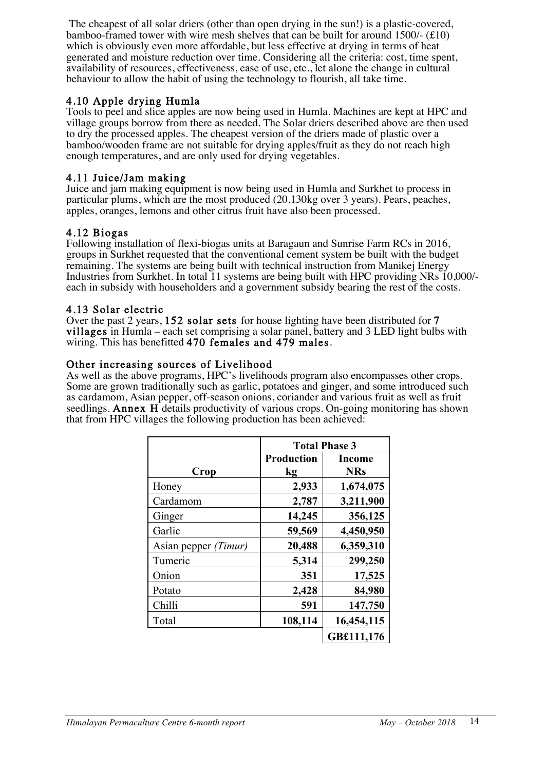The cheapest of all solar driers (other than open drying in the sun!) is a plastic-covered, bamboo-framed tower with wire mesh shelves that can be built for around 1500/- (£10) which is obviously even more affordable, but less effective at drying in terms of heat generated and moisture reduction over time. Considering all the criteria: cost, time spent, availability of resources, effectiveness, ease of use, etc., let alone the change in cultural behaviour to allow the habit of using the technology to flourish, all take time.

### 4.10 Apple drying Humla

Tools to peel and slice apples are now being used in Humla. Machines are kept at HPC and village groups borrow from there as needed. The Solar driers described above are then used to dry the processed apples. The cheapest version of the driers made of plastic over a bamboo/wooden frame are not suitable for drying apples/fruit as they do not reach high enough temperatures, and are only used for drying vegetables.

#### 4.11 Juice/Jam making

Juice and jam making equipment is now being used in Humla and Surkhet to process in particular plums, which are the most produced (20,130kg over 3 years). Pears, peaches, apples, oranges, lemons and other citrus fruit have also been processed.

#### 4.12 Biogas

Following installation of flexi-biogas units at Baragaun and Sunrise Farm RCs in 2016, groups in Surkhet requested that the conventional cement system be built with the budget remaining. The systems are being built with technical instruction from Manikej Energy Industries from Surkhet. In total 11 systems are being built with HPC providing NRs 10,000/ each in subsidy with householders and a government subsidy bearing the rest of the costs.

#### 4.13 Solar electric

Over the past 2 years, 152 solar sets for house lighting have been distributed for 7 villages in Humla – each set comprising a solar panel, battery and 3 LED light bulbs with wiring. This has benefitted 470 females and 479 males.

#### Other increasing sources of Livelihood

As well as the above programs, HPC's livelihoods program also encompasses other crops. Some are grown traditionally such as garlic, potatoes and ginger, and some introduced such as cardamom, Asian pepper, off-season onions, coriander and various fruit as well as fruit seedlings. Annex H details productivity of various crops. On-going monitoring has shown that from HPC villages the following production has been achieved:

|                      | <b>Total Phase 3</b> |               |  |
|----------------------|----------------------|---------------|--|
|                      | <b>Production</b>    | <b>Income</b> |  |
| Crop                 | kg                   | <b>NRs</b>    |  |
| Honey                | 2,933                | 1,674,075     |  |
| Cardamom             | 2,787                | 3,211,900     |  |
| Ginger               | 14,245               | 356,125       |  |
| Garlic               | 59,569               | 4,450,950     |  |
| Asian pepper (Timur) | 20,488               | 6,359,310     |  |
| Tumeric              | 5,314                | 299,250       |  |
| Onion                | 351                  | 17,525        |  |
| Potato               | 2,428                | 84,980        |  |
| Chilli               | 591                  | 147,750       |  |
| Total                | 108,114              | 16,454,115    |  |
|                      |                      | GB£111,176    |  |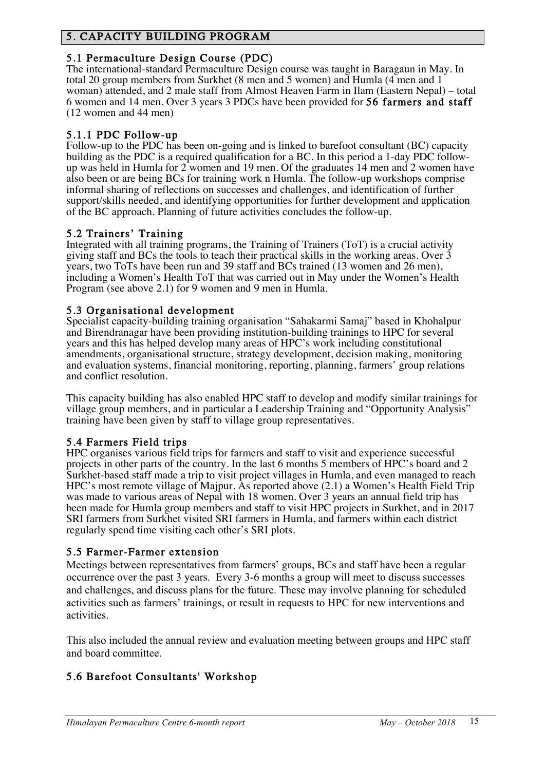# 5. CAPACITY BUILDING PROGRAM

5.1 Permaculture Design Course (PDC)<br>The international-standard Permaculture Design course was taught in Baragaun in May. In total 20 group members from Surkhet (8 men and 5 women) and Humla (4 men and 1 woman) attended, and 2 male staff from Almost Heaven Farm in Ilam (Eastern Nepal) – total 6 women and 14 men. Over 3 years 3 PDCs have been provided for 56 farmers and staff (12 women and 44 men)

5.1.1 PDC Follow-up<br>Follow-up to the PDC has been on-going and is linked to barefoot consultant (BC) capacity<br>building as the PDC is a required qualification for a BC. In this period a 1-day PDC followup was held in Humla for 2 women and 19 men. Of the graduates 14 men and 2 women have also been or are being BCs for training work n Humla. The follow-up workshops comprise informal sharing of reflections on successes and challenges, and identification of further support/skills needed, and identifying opportunities for further development and application of the BC approach. Planning of future activities concludes the follow-up.

5.2 Trainers' Training<br>Integrated with all training programs, the Training of Trainers (ToT) is a crucial activity giving staff and BCs the tools to teach their practical skills in the working areas. Over 3 years, two ToTs have been run and 39 staff and BCs trained (13 women and 26 men), including a Women's Health ToT that was carried out in May under the Women's Health Program (see above 2.1) for 9 women and 9 men in Humla.

### 5.3 Organisational development

Specialist capacity-building training organisation "Sahakarmi Samaj" based in Khohalpur and Birendranagar have been providing institution-building trainings to HPC for several years and this has helped develop many areas of HPC's work including constitutional amendments, organisational structure, strategy development, decision making, monitoring and evaluation systems, financial monitoring, reporting, planning, farmers' group relations and conflict resolution.

This capacity building has also enabled HPC staff to develop and modify similar trainings for village group members, and in particular a Leadership Training and "Opportunity Analysis" training have been given by staff to village group representatives.

5.4 Farmers Field trips<br>HPC organises various field trips for farmers and staff to visit and experience successful projects in other parts of the country. In the last 6 months 5 members of HPC's board and 2 Surkhet-based staff made a trip to visit project villages in Humla, and even managed to reach HPC's most remote village of Majpur. As reported above (2.1) a Women's Health Field Trip was made to various areas of Nepal with 18 women. Over 3 years an annual field trip has been made for Humla group members and staff to visit HPC projects in Surkhet, and in 2017 SRI farmers from Surkhet visited SRI farmers in Humla, and farmers within each district regularly spend time visiting each other's SRI plots.

### 5.5 Farmer-Farmer extension

Meetings between representatives from farmers' groups, BCs and staff have been a regular occurrence over the past 3 years. Every 3-6 months a group will meet to discuss successes and challenges, and discuss plans for the future. These may involve planning for scheduled activities such as farmers' trainings, or result in requests to HPC for new interventions and activities.

This also included the annual review and evaluation meeting between groups and HPC staff and board committee.

# 5.6 Barefoot Consultants' Workshop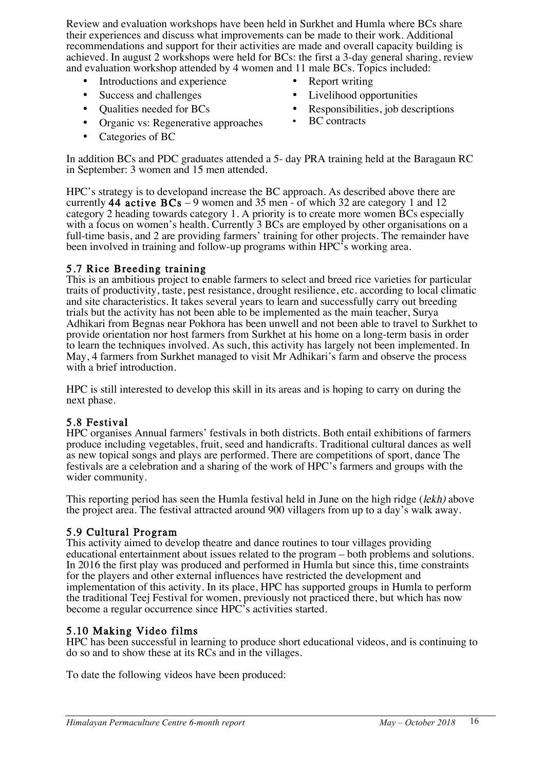Review and evaluation workshops have been held in Surkhet and Humla where BCs share their experiences and discuss what improvements can be made to their work. Additional recommendations and support for their activities are made and overall capacity building is achieved. In august 2 workshops were held for BCs: the first a 3-day general sharing, review and evaluation workshop attended by 4 women and 11 male BCs. Topics included:

- Introductions and experience Report writing
- 
- 
- Organic vs: Regenerative approaches BC contracts
- Categories of BC
- 
- Success and challenges Livelihood opportunities
- Qualities needed for BCs Responsibilities, job descriptions
	-

In addition BCs and PDC graduates attended a 5- day PRA training held at the Baragaun RC in September: 3 women and 15 men attended.

HPC's strategy is to developand increase the BC approach. As described above there are currently 44 active  $BCs - 9$  women and 35 men - of which 32 are category 1 and 12 category 2 heading towards category 1. A priority is to create more women BCs especially with a focus on women's health. Currently 3 BCs are employed by other organisations on a full-time basis, and 2 are providing farmers' training for other projects. The remainder have been involved in training and follow-up programs within HPC's working area.

5.7 Rice Breeding training<br>This is an ambitious project to enable farmers to select and breed rice varieties for particular traits of productivity, taste, pest resistance, drought resilience, etc. according to local climatic and site characteristics. It takes several years to learn and successfully carry out breeding trials but the activity has not been able to be implemented as the main teacher, Surya Adhikari from Begnas near Pokhora has been unwell and not been able to travel to Surkhet to provide orientation nor host farmers from Surkhet at his home on a long-term basis in order to learn the techniques involved. As such, this activity has largely not been implemented. In May, 4 farmers from Surkhet managed to visit Mr Adhikari's farm and observe the process with a brief introduction.

HPC is still interested to develop this skill in its areas and is hoping to carry on during the next phase.

### 5.8 Festival

HPC organises Annual farmers' festivals in both districts. Both entail exhibitions of farmers produce including vegetables, fruit, seed and handicrafts. Traditional cultural dances as well as new topical songs and plays are performed. There are competitions of sport, dance The festivals are a celebration and a sharing of the work of HPC's farmers and groups with the wider community.

This reporting period has seen the Humla festival held in June on the high ridge (lekh) above the project area. The festival attracted around 900 villagers from up to a day's walk away.

### 5.9 Cultural Program

This activity aimed to develop theatre and dance routines to tour villages providing educational entertainment about issues related to the program – both problems and solutions. In 2016 the first play was produced and performed in Humla but since this, time constraints for the players and other external influences have restricted the development and implementation of this activity. In its place, HPC has supported groups in Humla to perform the traditional Teej Festival for women, previously not practiced there, but which has now become a regular occurrence since HPC's activities started.

5.10 Making Video films<br>HPC has been successful in learning to produce short educational videos, and is continuing to do so and to show these at its RCs and in the villages.

To date the following videos have been produced: